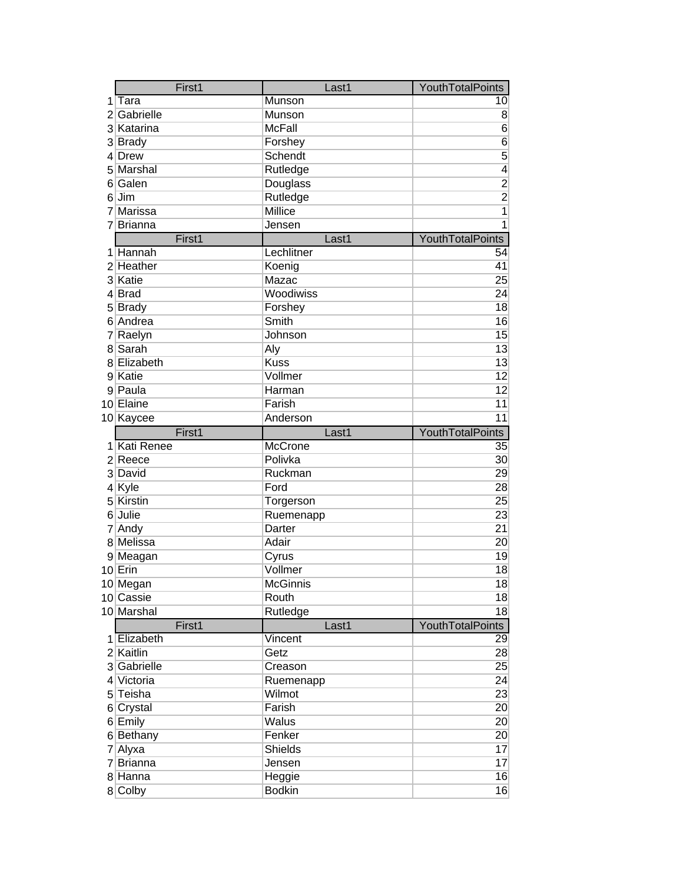|         | First1                  | Last1                    | YouthTotalPoints |
|---------|-------------------------|--------------------------|------------------|
| 1       | Tara                    | Munson                   | 10               |
| 2       | Gabrielle               | Munson                   | 8                |
|         | 3 Katarina              | <b>McFall</b>            | $\overline{6}$   |
|         | 3 Brady                 | Forshey                  | $\overline{6}$   |
| 4       | Drew                    | Schendt                  | 5                |
|         | 5 Marshal               | Rutledge                 | 4                |
| 61      | Galen                   | Douglass                 |                  |
| 6       | Jim                     | Rutledge                 | $\frac{2}{2}$    |
| 7       | Marissa                 | Millice                  |                  |
| 7       | <b>Brianna</b>          | Jensen                   | 1                |
|         | First1                  | Last1                    | YouthTotalPoints |
| 1.      | Hannah                  | Lechlitner               | 54               |
|         | 2 Heather               | Koenig                   | 41               |
|         | 3 Katie                 | Mazac                    | 25               |
|         | 4 Brad                  | Woodiwiss                | 24               |
|         | 5 Brady                 | Forshey                  | 18               |
|         | 6 Andrea                | Smith                    | 16               |
| 7       | Raelyn                  | Johnson                  | 15               |
| 8       | Sarah                   | Aly                      | 13               |
| 8       | Elizabeth               | <b>Kuss</b>              | 13               |
|         | 9 Katie                 | Vollmer                  | 12               |
|         | 9 Paula                 | Harman                   | 12               |
|         | 10 Elaine               | Farish                   | 11               |
|         | 10 Kaycee               | Anderson                 | 11               |
|         |                         |                          |                  |
|         |                         |                          |                  |
|         | First1                  | Last1                    | YouthTotalPoints |
|         | 1 Kati Renee            | McCrone                  | 35               |
|         | 2 Reece                 | Polivka                  | 30               |
|         | 3 David                 | Ruckman                  | 29               |
| 41<br>5 | Kyle<br>Kirstin         | Ford                     | 28               |
| 6       | Julie                   | Torgerson                | 25               |
|         |                         | Ruemenapp<br>Darter      | 23<br>21         |
|         | 7 Andy<br>8 Melissa     | Adair                    | 20               |
|         |                         |                          |                  |
|         | 9 Meagan                | Cyrus<br>Vollmer         | 19<br>18         |
|         | $10$ Erin               |                          |                  |
|         | 10 Megan                | <b>McGinnis</b><br>Routh | 18               |
|         | 10 Cassie<br>10 Marshal | Rutledge                 | 18<br>18         |
|         | First1                  | Last1                    | YouthTotalPoints |
|         | 1 Elizabeth             | Vincent                  | $\overline{29}$  |
|         | 2 Kaitlin               | Getz                     | 28               |
|         | 3 Gabrielle             | Creason                  | 25               |
|         | 4 Victoria              |                          | 24               |
|         | 5 Teisha                | Ruemenapp<br>Wilmot      | 23               |
|         | 6 Crystal               | Farish                   | 20               |
|         | 6 Emily                 | <b>Walus</b>             | 20               |
|         |                         | Fenker                   | 20               |
|         | 6 Bethany               | <b>Shields</b>           | 17               |
|         | 7 Alyxa<br>7 Brianna    | Jensen                   | 17               |
|         | 8 Hanna                 | Heggie                   | 16               |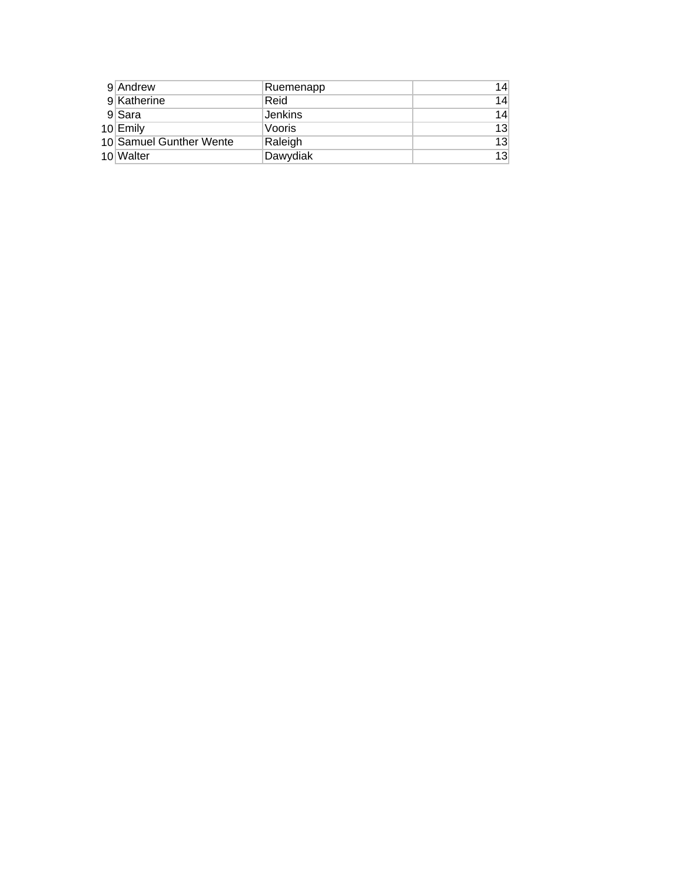| 9 Andrew                | Ruemenapp | 14 |
|-------------------------|-----------|----|
| 9 Katherine             | Reid      | 14 |
| 9 Sara                  | Jenkins   | 14 |
| $10$ Emily              | Vooris    | 13 |
| 10 Samuel Gunther Wente | Raleigh   | 13 |
| 10 Walter               | Dawydiak  | 13 |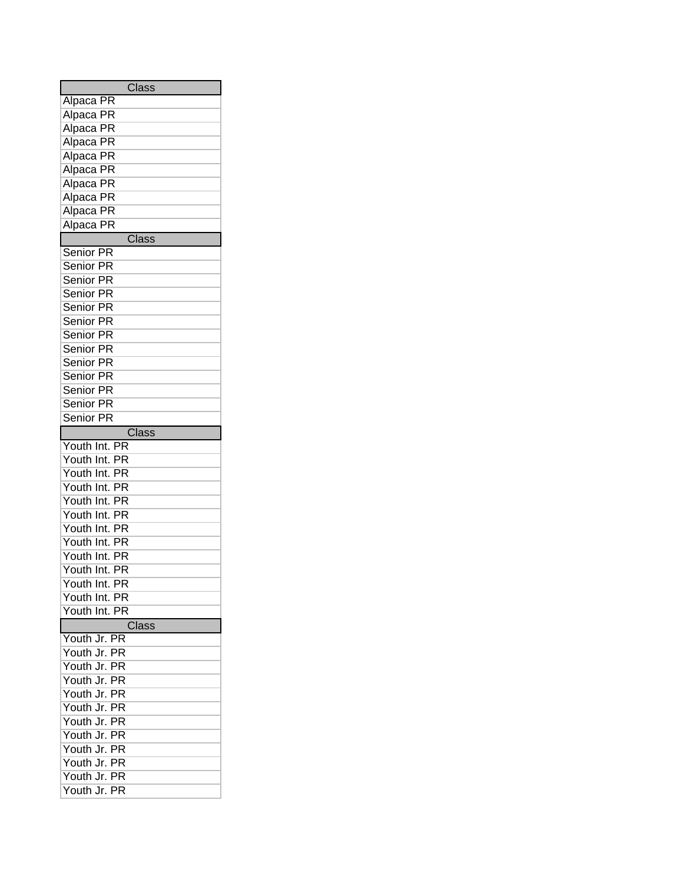| Class                                     |  |  |  |  |  |
|-------------------------------------------|--|--|--|--|--|
| Alpaca PR                                 |  |  |  |  |  |
| $\overline{\mathsf{PR}}$<br>Alpaca        |  |  |  |  |  |
| PR<br>Alpaca                              |  |  |  |  |  |
| PR<br>Alpaca                              |  |  |  |  |  |
| PR<br>Alpaca                              |  |  |  |  |  |
| $\overline{\mathsf{PR}}$<br>Alpaca        |  |  |  |  |  |
| PR<br>Alpaca                              |  |  |  |  |  |
| PR<br>Alpaca                              |  |  |  |  |  |
| PR<br>Alpaca                              |  |  |  |  |  |
| $\overline{\mathsf{PR}}$<br>Alpaca        |  |  |  |  |  |
| Class                                     |  |  |  |  |  |
| <b>Senior PR</b>                          |  |  |  |  |  |
| <b>Senior PR</b>                          |  |  |  |  |  |
| Senior PR                                 |  |  |  |  |  |
| Senior PR                                 |  |  |  |  |  |
| <b>Senior PR</b>                          |  |  |  |  |  |
| Senior PR                                 |  |  |  |  |  |
| <b>Senior PR</b>                          |  |  |  |  |  |
| Senior PR                                 |  |  |  |  |  |
| Senior PR                                 |  |  |  |  |  |
| Senior PR                                 |  |  |  |  |  |
| <b>Senior PR</b>                          |  |  |  |  |  |
| <b>Senior PR</b>                          |  |  |  |  |  |
| <b>Senior PR</b>                          |  |  |  |  |  |
| Class                                     |  |  |  |  |  |
| $\overline{\mathsf{PR}}$<br>Youth Int.    |  |  |  |  |  |
| Youth Int.<br>PR                          |  |  |  |  |  |
| PR<br>Youth Int.                          |  |  |  |  |  |
| PR<br>Youth Int.                          |  |  |  |  |  |
| PR<br>Youth Int.                          |  |  |  |  |  |
| PR<br>Youth<br>Int.                       |  |  |  |  |  |
| Youth<br>PR<br>Int.                       |  |  |  |  |  |
| $\overline{\mathsf{PR}}$<br>Youth<br>Int. |  |  |  |  |  |
| Youth Int.<br>РR                          |  |  |  |  |  |
| Youth Int.<br>РR                          |  |  |  |  |  |
| Youth Int. PR                             |  |  |  |  |  |
| Youth Int. PR                             |  |  |  |  |  |
| Youth Int. PR                             |  |  |  |  |  |
| Class                                     |  |  |  |  |  |
| Youth Jr.<br><b>PR</b>                    |  |  |  |  |  |
| Youth Jr. PR                              |  |  |  |  |  |
| Youth Jr. PR                              |  |  |  |  |  |
| Youth Jr. PR                              |  |  |  |  |  |
| Youth Jr. PR                              |  |  |  |  |  |
| Youth Jr. PR                              |  |  |  |  |  |
| Youth Jr. PR                              |  |  |  |  |  |
| Youth Jr.<br><b>PR</b>                    |  |  |  |  |  |
| Youth Jr.<br><b>PR</b>                    |  |  |  |  |  |
| Youth Jr.<br>ΡR                           |  |  |  |  |  |
| Youth Jr.<br><b>PR</b>                    |  |  |  |  |  |
| Youth Jr. PR                              |  |  |  |  |  |